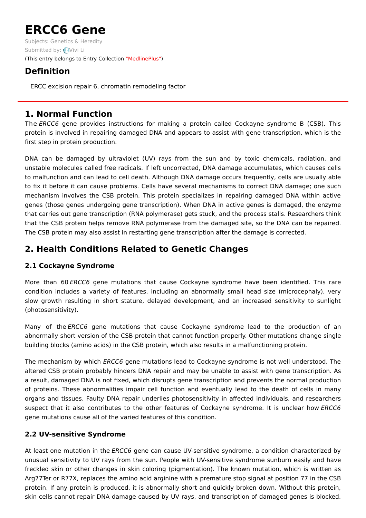# **ERCC6 Gene**

Subjects: [Genetics](https://encyclopedia.pub/item/subject/56) & Heredity Submitted by: [Vivi](https://sciprofiles.com/profile/1156458) Li (This entry belongs to Entry Collection ["MedlinePlus"](https://encyclopedia.pub/entry_collection?id=24))

# **Definition**

ERCC excision repair 6, chromatin remodeling factor

## **1. Normal Function**

The ERCC6 gene provides instructions for making a protein called Cockayne syndrome B (CSB). This protein is involved in repairing damaged DNA and appears to assist with gene transcription, which is the first step in protein production.

DNA can be damaged by ultraviolet (UV) rays from the sun and by toxic chemicals, radiation, and unstable molecules called free radicals. If left uncorrected, DNA damage accumulates, which causes cells to malfunction and can lead to cell death. Although DNA damage occurs frequently, cells are usually able to fix it before it can cause problems. Cells have several mechanisms to correct DNA damage; one such mechanism involves the CSB protein. This protein specializes in repairing damaged DNA within active genes (those genes undergoing gene transcription). When DNA in active genes is damaged, the enzyme that carries out gene transcription (RNA polymerase) gets stuck, and the process stalls. Researchers think that the CSB protein helps remove RNA polymerase from the damaged site, so the DNA can be repaired. The CSB protein may also assist in restarting gene transcription after the damage is corrected.

## **2. Health Conditions Related to Genetic Changes**

### **2.1 Cockayne Syndrome**

More than 60 ERCC6 gene mutations that cause Cockayne syndrome have been identified. This rare condition includes a variety of features, including an abnormally small head size (microcephaly), very slow growth resulting in short stature, delayed development, and an increased sensitivity to sunlight (photosensitivity).

Many of the ERCC6 gene mutations that cause Cockayne syndrome lead to the production of an abnormally short version of the CSB protein that cannot function properly. Other mutations change single building blocks (amino acids) in the CSB protein, which also results in a malfunctioning protein.

The mechanism by which ERCC6 gene mutations lead to Cockayne syndrome is not well understood. The altered CSB protein probably hinders DNA repair and may be unable to assist with gene transcription. As a result, damaged DNA is not fixed, which disrupts gene transcription and prevents the normal production of proteins. These abnormalities impair cell function and eventually lead to the death of cells in many organs and tissues. Faulty DNA repair underlies photosensitivity in affected individuals, and researchers suspect that it also contributes to the other features of Cockayne syndrome. It is unclear how ERCC6 gene mutations cause all of the varied features of this condition.

### **2.2 UV-sensitive Syndrome**

At least one mutation in the ERCC6 gene can cause UV-sensitive syndrome, a condition characterized by unusual sensitivity to UV rays from the sun. People with UV-sensitive syndrome sunburn easily and have freckled skin or other changes in skin coloring (pigmentation). The known mutation, which is written as Arg77Ter or R77X, replaces the amino acid arginine with a premature stop signal at position 77 in the CSB protein. If any protein is produced, it is abnormally short and quickly broken down. Without this protein, skin cells cannot repair DNA damage caused by UV rays, and transcription of damaged genes is blocked.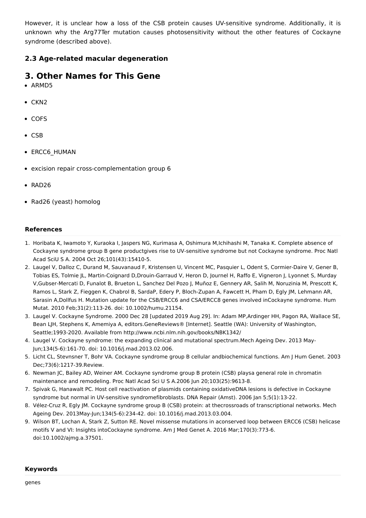However, it is unclear how a loss of the CSB protein causes UV-sensitive syndrome. Additionally, it is unknown why the Arg77Ter mutation causes photosensitivity without the other features of Cockayne syndrome (described above).

#### **2.3 Age-related macular degeneration**

## **3. Other Names for This Gene**

- ARMD5
- $\bullet$  CKN2
- COFS
- CSB
- ERCC6 HUMAN
- excision repair cross-complementation group 6
- RAD26
- Rad26 (yeast) homolog

#### **References**

- 1. Horibata K, Iwamoto Y, Kuraoka I, Jaspers NG, Kurimasa A, Oshimura M,Ichihashi M, Tanaka K. Complete absence of Cockayne syndrome group B gene productgives rise to UV-sensitive syndrome but not Cockayne syndrome. Proc Natl Acad SciU S A. 2004 Oct 26;101(43):15410-5.
- 2. Laugel V, Dalloz C, Durand M, Sauvanaud F, Kristensen U, Vincent MC, Pasquier L, Odent S, Cormier-Daire V, Gener B, Tobias ES, Tolmie JL, Martin-Coignard D,Drouin-Garraud V, Heron D, Journel H, Raffo E, Vigneron J, Lyonnet S, Murday V,Gubser-Mercati D, Funalot B, Brueton L, Sanchez Del Pozo J, Muñoz E, Gennery AR, Salih M, Noruzinia M, Prescott K, Ramos L, Stark Z, Fieggen K, Chabrol B, SardaP, Edery P, Bloch-Zupan A, Fawcett H, Pham D, Egly JM, Lehmann AR, Sarasin A,Dollfus H. Mutation update for the CSB/ERCC6 and CSA/ERCC8 genes involved inCockayne syndrome. Hum Mutat. 2010 Feb;31(2):113-26. doi: 10.1002/humu.21154.
- 3. Laugel V. Cockayne Syndrome. 2000 Dec 28 [updated 2019 Aug 29]. In: Adam MP,Ardinger HH, Pagon RA, Wallace SE, Bean LJH, Stephens K, Amemiya A, editors.GeneReviews® [Internet]. Seattle (WA): University of Washington, Seattle;1993-2020. Available from http://www.ncbi.nlm.nih.gov/books/NBK1342/
- 4. Laugel V. Cockayne syndrome: the expanding clinical and mutational spectrum.Mech Ageing Dev. 2013 May-Jun;134(5-6):161-70. doi: 10.1016/j.mad.2013.02.006.
- 5. Licht CL, Stevnsner T, Bohr VA. Cockayne syndrome group B cellular andbiochemical functions. Am J Hum Genet. 2003 Dec;73(6):1217-39.Review.
- 6. Newman JC, Bailey AD, Weiner AM. Cockayne syndrome group B protein (CSB) playsa general role in chromatin maintenance and remodeling. Proc Natl Acad Sci U S A.2006 Jun 20;103(25):9613-8.
- 7. Spivak G, Hanawalt PC. Host cell reactivation of plasmids containing oxidativeDNA lesions is defective in Cockayne syndrome but normal in UV-sensitive syndromefibroblasts. DNA Repair (Amst). 2006 Jan 5;5(1):13-22.
- 8. Vélez-Cruz R, Egly JM. Cockayne syndrome group B (CSB) protein: at thecrossroads of transcriptional networks. Mech Ageing Dev. 2013May-Jun;134(5-6):234-42. doi: 10.1016/j.mad.2013.03.004.
- 9. Wilson BT, Lochan A, Stark Z, Sutton RE. Novel missense mutations in aconserved loop between ERCC6 (CSB) helicase motifs V and VI: Insights intoCockayne syndrome. Am J Med Genet A. 2016 Mar;170(3):773-6. doi:10.1002/ajmg.a.37501.

#### **Keywords**